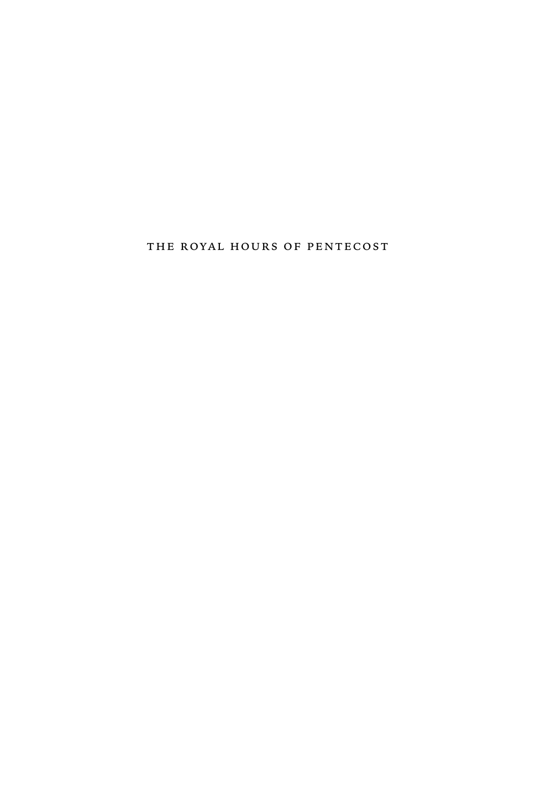the royal hours of pentecost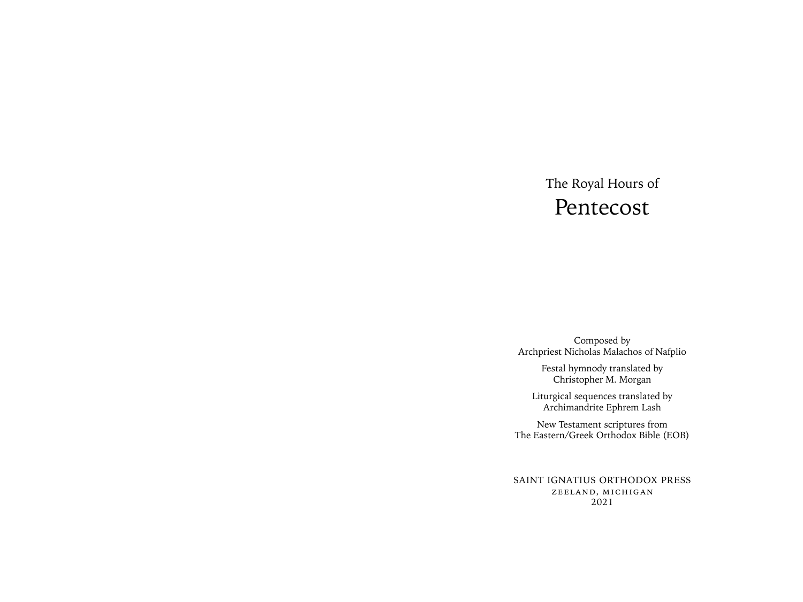# The Royal Hours of Pentecost

Composed by Archpriest Nicholas Malachos of Nafplio

> Festal hymnody translated by Christopher M. Morgan

Liturgical sequences translated by Archimandrite Ephrem Lash

New Testament scriptures from The Eastern/Greek Orthodox Bible (EOB)

SAINT IGNATIUS ORTHODOX PRESS zeeland, michigan 2021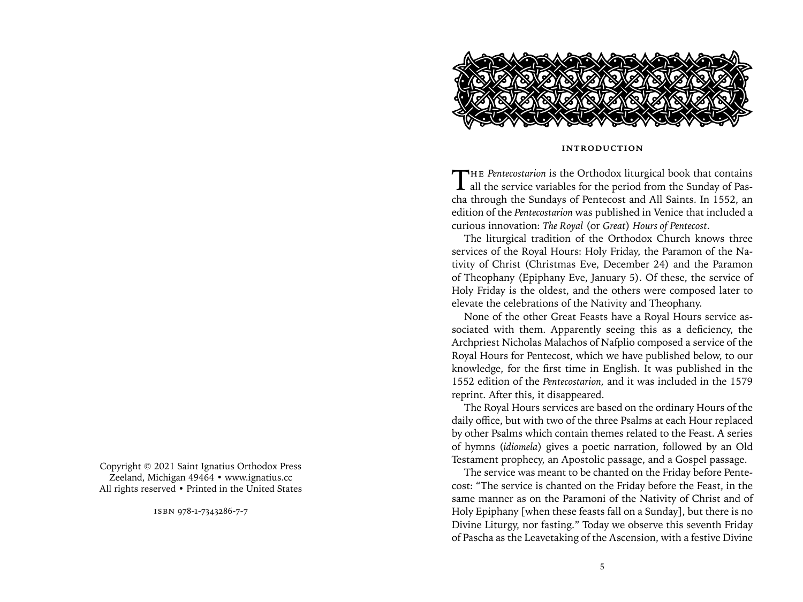

#### **introduction**

THE *Pentecostarion* is the Orthodox liturgical book that contains all the service variables for the period from the Sunday of Pascha through the Sundays of Pentecost and All Saints. In 1552, an edition of the *Pentecostarion* was published in Venice that included a curious innovation: *The Royal* (or *Great*) *Hours of Pentecost*.

The liturgical tradition of the Orthodox Church knows three services of the Royal Hours: Holy Friday, the Paramon of the Nativity of Christ (Christmas Eve, December 24) and the Paramon of Theophany (Epiphany Eve, January 5). Of these, the service of Holy Friday is the oldest, and the others were composed later to elevate the celebrations of the Nativity and Theophany.

None of the other Great Feasts have a Royal Hours service associated with them. Apparently seeing this as a deficiency, the Archpriest Nicholas Malachos of Nafplio composed a service of the Royal Hours for Pentecost, which we have published below, to our knowledge, for the first time in English. It was published in the 1552 edition of the *Pentecostarion,* and it was included in the 1579 reprint. After this, it disappeared.

The Royal Hours services are based on the ordinary Hours of the daily office, but with two of the three Psalms at each Hour replaced by other Psalms which contain themes related to the Feast. A series of hymns (*idiomela*) gives a poetic narration, followed by an Old Testament prophecy, an Apostolic passage, and a Gospel passage.

The service was meant to be chanted on the Friday before Pentecost: "The service is chanted on the Friday before the Feast, in the same manner as on the Paramoni of the Nativity of Christ and of Holy Epiphany [when these feasts fall on a Sunday], but there is no Divine Liturgy, nor fasting." Today we observe this seventh Friday of Pascha as the Leavetaking of the Ascension, with a festive Divine

Copyright © 2021 Saint Ignatius Orthodox Press Zeeland, Michigan 49464 • www.ignatius.cc All rights reserved • Printed in the United States

isbn 978-1-7343286-7-7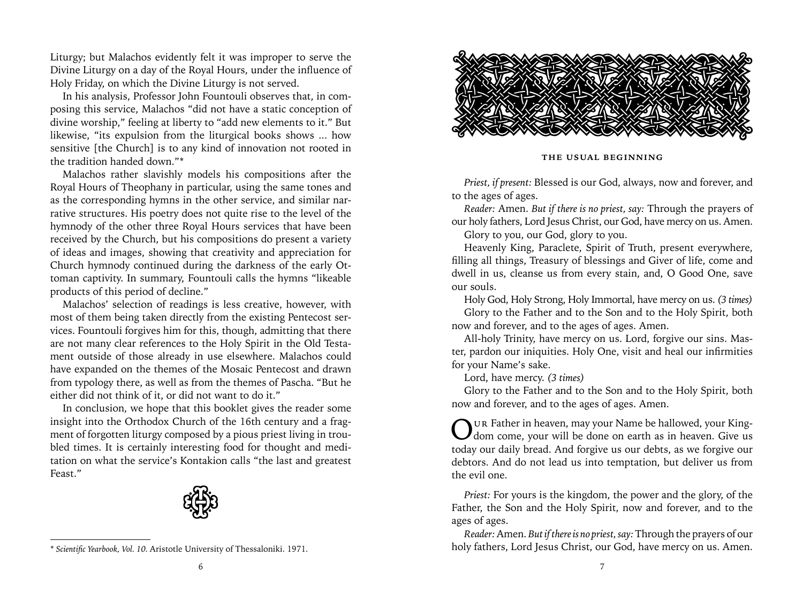Liturgy; but Malachos evidently felt it was improper to serve the Divine Liturgy on a day of the Royal Hours, under the influence of Holy Friday, on which the Divine Liturgy is not served.

In his analysis, Professor John Fountouli observes that, in composing this service, Malachos "did not have a static conception of divine worship," feeling at liberty to "add new elements to it." But likewise, "its expulsion from the liturgical books shows ... how sensitive [the Church] is to any kind of innovation not rooted in the tradition handed down."\*

Malachos rather slavishly models his compositions after the Royal Hours of Theophany in particular, using the same tones and as the corresponding hymns in the other service, and similar narrative structures. His poetry does not quite rise to the level of the hymnody of the other three Royal Hours services that have been received by the Church, but his compositions do present a variety of ideas and images, showing that creativity and appreciation for Church hymnody continued during the darkness of the early Ottoman captivity. In summary, Fountouli calls the hymns "likeable products of this period of decline."

Malachos' selection of readings is less creative, however, with most of them being taken directly from the existing Pentecost services. Fountouli forgives him for this, though, admitting that there are not many clear references to the Holy Spirit in the Old Testament outside of those already in use elsewhere. Malachos could have expanded on the themes of the Mosaic Pentecost and drawn from typology there, as well as from the themes of Pascha. "But he either did not think of it, or did not want to do it."

In conclusion, we hope that this booklet gives the reader some insight into the Orthodox Church of the 16th century and a fragment of forgotten liturgy composed by a pious priest living in troubled times. It is certainly interesting food for thought and meditation on what the service's Kontakion calls "the last and greatest Feast."



<sup>\*</sup> *Scientific Yearbook, Vol. 10.* Aristotle University of Thessaloniki. 1971.



**the usual beginning**

*Priest, if present:* Blessed is our God, always, now and forever, and to the ages of ages.

*Reader:* Amen. *But if there is no priest, say:* Through the prayers of our holy fathers, Lord Jesus Christ, our God, have mercy on us. Amen.

Glory to you, our God, glory to you.

Heavenly King, Paraclete, Spirit of Truth, present everywhere, filling all things, Treasury of blessings and Giver of life, come and dwell in us, cleanse us from every stain, and, O Good One, save our souls.

Holy God, Holy Strong, Holy Immortal, have mercy on us. *(3 times)* Glory to the Father and to the Son and to the Holy Spirit, both now and forever, and to the ages of ages. Amen.

All-holy Trinity, have mercy on us. Lord, forgive our sins. Master, pardon our iniquities. Holy One, visit and heal our infirmities for your Name's sake.

Lord, have mercy. *(3 times)*

Glory to the Father and to the Son and to the Holy Spirit, both now and forever, and to the ages of ages. Amen.

Our Father in heaven, may your Name be hallowed, your King-<br>dom come, your will be done on earth as in heaven. Give us today our daily bread. And forgive us our debts, as we forgive our debtors. And do not lead us into temptation, but deliver us from the evil one.

*Priest:* For yours is the kingdom, the power and the glory, of the Father, the Son and the Holy Spirit, now and forever, and to the ages of ages.

*Reader:* Amen. *But if there is no priest, say:* Through the prayers of our holy fathers, Lord Jesus Christ, our God, have mercy on us. Amen.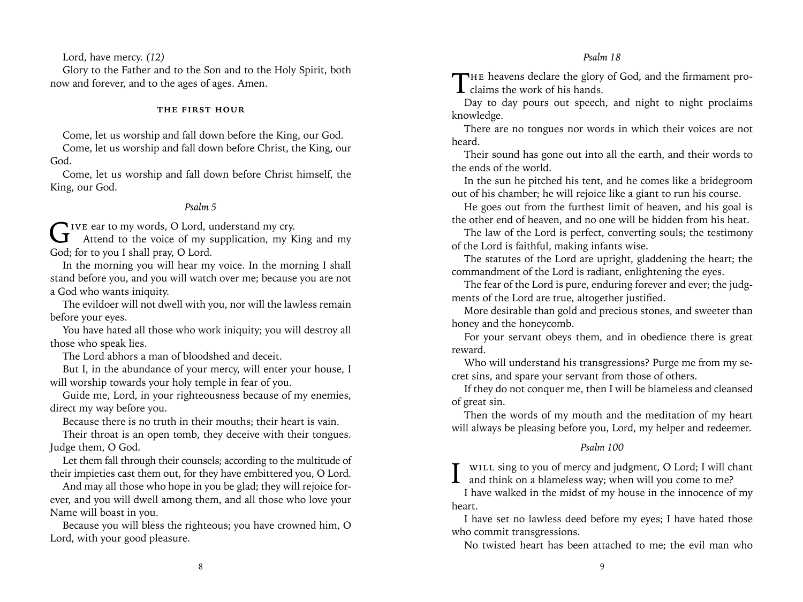### *Psalm 18*

Lord, have mercy. *(12)*

Glory to the Father and to the Son and to the Holy Spirit, both now and forever, and to the ages of ages. Amen.

#### **the first hour**

Come, let us worship and fall down before the King, our God.

Come, let us worship and fall down before Christ, the King, our God.

Come, let us worship and fall down before Christ himself, the King, our God.

#### *Psalm 5*

GIVE ear to my words, O Lord, understand my cry.<br>Attend to the voice of my supplication, my King and my God; for to you I shall pray, O Lord.

In the morning you will hear my voice. In the morning I shall stand before you, and you will watch over me; because you are not a God who wants iniquity.

The evildoer will not dwell with you, nor will the lawless remain before your eyes.

You have hated all those who work iniquity; you will destroy all those who speak lies.

The Lord abhors a man of bloodshed and deceit.

But I, in the abundance of your mercy, will enter your house, I will worship towards your holy temple in fear of you.

Guide me, Lord, in your righteousness because of my enemies, direct my way before you.

Because there is no truth in their mouths; their heart is vain.

Their throat is an open tomb, they deceive with their tongues. Judge them, O God.

Let them fall through their counsels; according to the multitude of their impieties cast them out, for they have embittered you, O Lord.

And may all those who hope in you be glad; they will rejoice forever, and you will dwell among them, and all those who love your Name will boast in you.

Because you will bless the righteous; you have crowned him, O Lord, with your good pleasure.

THE heavens declare the glory of God, and the firmament pro- $\perp$  claims the work of his hands.

Day to day pours out speech, and night to night proclaims knowledge.

There are no tongues nor words in which their voices are not heard.

Their sound has gone out into all the earth, and their words to the ends of the world.

In the sun he pitched his tent, and he comes like a bridegroom out of his chamber; he will rejoice like a giant to run his course.

He goes out from the furthest limit of heaven, and his goal is the other end of heaven, and no one will be hidden from his heat.

The law of the Lord is perfect, converting souls; the testimony of the Lord is faithful, making infants wise.

The statutes of the Lord are upright, gladdening the heart; the commandment of the Lord is radiant, enlightening the eyes.

The fear of the Lord is pure, enduring forever and ever; the judgments of the Lord are true, altogether justified.

More desirable than gold and precious stones, and sweeter than honey and the honeycomb.

For your servant obeys them, and in obedience there is great reward.

Who will understand his transgressions? Purge me from my secret sins, and spare your servant from those of others.

If they do not conquer me, then I will be blameless and cleansed of great sin.

Then the words of my mouth and the meditation of my heart will always be pleasing before you, Lord, my helper and redeemer.

### *Psalm 100*

I will sing to you of mercy and judgment, O Lord; I will chant and think on a blameless way; when will you come to me?

I have walked in the midst of my house in the innocence of my heart.

I have set no lawless deed before my eyes; I have hated those who commit transgressions.

No twisted heart has been attached to me; the evil man who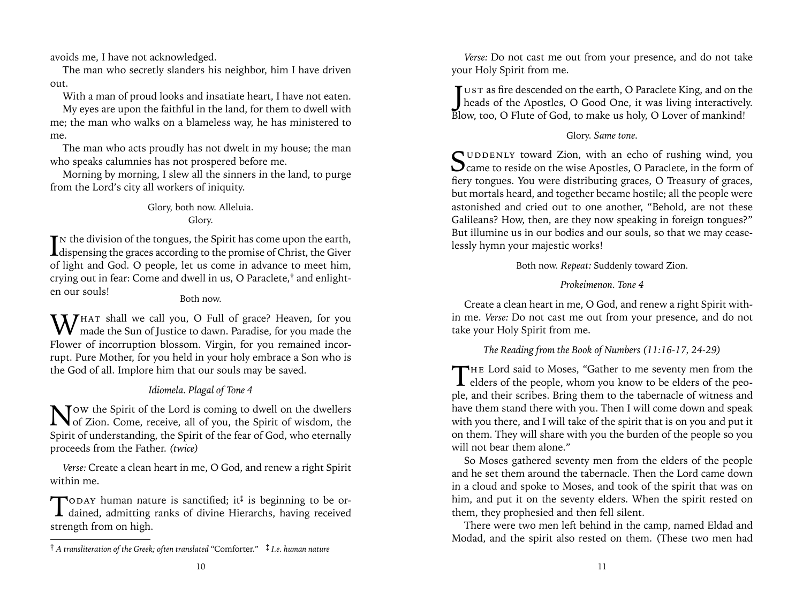avoids me, I have not acknowledged.

The man who secretly slanders his neighbor, him I have driven out.

With a man of proud looks and insatiate heart, I have not eaten.

My eyes are upon the faithful in the land, for them to dwell with me; the man who walks on a blameless way, he has ministered to me.

The man who acts proudly has not dwelt in my house; the man who speaks calumnies has not prospered before me.

Morning by morning, I slew all the sinners in the land, to purge from the Lord's city all workers of iniquity.

# Glory, both now. Alleluia. Glory.

In the division of the tongues, the Spirit has come upon the earth,<br>dispensing the graces according to the promise of Christ, the Giver  $\mathbf{T}$  N the division of the tongues, the Spirit has come upon the earth, of light and God. O people, let us come in advance to meet him, crying out in fear: Come and dwell in us, O Paraclete,**†** and enlighten our souls!

# Both now.

WHAT shall we call you, O Full of grace? Heaven, for you made the Sun of Justice to dawn. Paradise, for you made the Flower of incorruption blossom. Virgin, for you remained incorrupt. Pure Mother, for you held in your holy embrace a Son who is the God of all. Implore him that our souls may be saved.

# *Idiomela. Plagal of Tone 4*

Now the Spirit of the Lord is coming to dwell on the dwellers of Zion. Come, receive, all of you, the Spirit of wisdom, the Spirit of understanding, the Spirit of the fear of God, who eternally proceeds from the Father. *(twice)*

*Verse:* Create a clean heart in me, O God, and renew a right Spirit within me.

TODAY human nature is sanctified; it<sup>‡</sup> is beginning to be or-<br>dained, admitting ranks of divine Hierarchs, having received strength from on high.

*Verse:* Do not cast me out from your presence, and do not take your Holy Spirit from me.

JUST as fire descended on the earth, O Paraclete King, and on the heads of the Apostles, O Good One, it was living interactively.  $\mathbf{T}$  ust as fire descended on the earth, O Paraclete King, and on the Blow, too, O Flute of God, to make us holy, O Lover of mankind!

# Glory. *Same tone.*

Suddenly toward Zion, with an echo of rushing wind, you Came to reside on the wise Apostles, O Paraclete, in the form of fiery tongues. You were distributing graces, O Treasury of graces, but mortals heard, and together became hostile; all the people were astonished and cried out to one another, "Behold, are not these Galileans? How, then, are they now speaking in foreign tongues?" But illumine us in our bodies and our souls, so that we may ceaselessly hymn your majestic works!

Both now. *Repeat:* Suddenly toward Zion.

# *Prokeimenon. Tone 4*

Create a clean heart in me, O God, and renew a right Spirit within me. *Verse:* Do not cast me out from your presence, and do not take your Holy Spirit from me.

# *The Reading from the Book of Numbers (11:16-17, 24-29)*

THE Lord said to Moses, "Gather to me seventy men from the elders of the people, whom you know to be elders of the people. ple, and their scribes. Bring them to the tabernacle of witness and have them stand there with you. Then I will come down and speak with you there, and I will take of the spirit that is on you and put it on them. They will share with you the burden of the people so you will not bear them alone."

So Moses gathered seventy men from the elders of the people and he set them around the tabernacle. Then the Lord came down in a cloud and spoke to Moses, and took of the spirit that was on him, and put it on the seventy elders. When the spirit rested on them, they prophesied and then fell silent.

There were two men left behind in the camp, named Eldad and Modad, and the spirit also rested on them. (These two men had

<sup>†</sup> *A transliteration of the Greek; often translated* "Comforter." ‡ *I.e. human nature*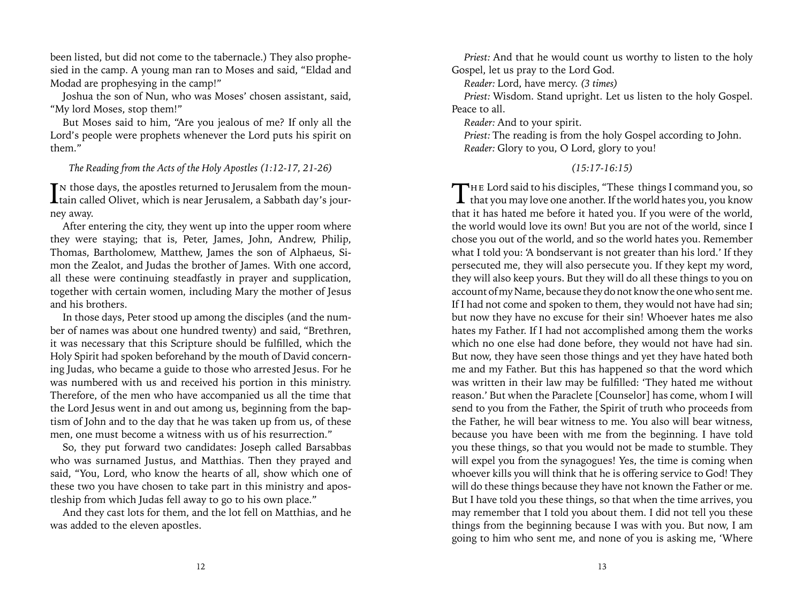been listed, but did not come to the tabernacle.) They also prophesied in the camp. A young man ran to Moses and said, "Eldad and Modad are prophesying in the camp!"

Joshua the son of Nun, who was Moses' chosen assistant, said, "My lord Moses, stop them!"

But Moses said to him, "Are you jealous of me? If only all the Lord's people were prophets whenever the Lord puts his spirit on them."

### *The Reading from the Acts of the Holy Apostles (1:12-17, 21-26)*

 $\prod$ n those days, the apostles returned to Jerusalem from the mountain called Olivet, which is near Jerusalem, a Sabbath day's jour-T N those days, the apostles returned to Jerusalem from the mounney away.

After entering the city, they went up into the upper room where they were staying; that is, Peter, James, John, Andrew, Philip, Thomas, Bartholomew, Matthew, James the son of Alphaeus, Simon the Zealot, and Judas the brother of James. With one accord, all these were continuing steadfastly in prayer and supplication, together with certain women, including Mary the mother of Jesus and his brothers.

In those days, Peter stood up among the disciples (and the number of names was about one hundred twenty) and said, "Brethren, it was necessary that this Scripture should be fulfilled, which the Holy Spirit had spoken beforehand by the mouth of David concerning Judas, who became a guide to those who arrested Jesus. For he was numbered with us and received his portion in this ministry. Therefore, of the men who have accompanied us all the time that the Lord Jesus went in and out among us, beginning from the baptism of John and to the day that he was taken up from us, of these men, one must become a witness with us of his resurrection."

So, they put forward two candidates: Joseph called Barsabbas who was surnamed Justus, and Matthias. Then they prayed and said, "You, Lord, who know the hearts of all, show which one of these two you have chosen to take part in this ministry and apostleship from which Judas fell away to go to his own place."

And they cast lots for them, and the lot fell on Matthias, and he was added to the eleven apostles.

*Priest:* And that he would count us worthy to listen to the holy Gospel, let us pray to the Lord God.

*Reader:* Lord, have mercy. *(3 times)*

*Priest:* Wisdom. Stand upright. Let us listen to the holy Gospel. Peace to all.

*Reader:* And to your spirit.

*Priest:* The reading is from the holy Gospel according to John. *Reader:* Glory to you, O Lord, glory to you!

### *(15:17-16:15)*

THE Lord said to his disciples, "These things I command you, so that you may love one another. If the world hates you, you know that it has hated me before it hated you. If you were of the world, the world would love its own! But you are not of the world, since I chose you out of the world, and so the world hates you. Remember what I told you: 'A bondservant is not greater than his lord.' If they persecuted me, they will also persecute you. If they kept my word, they will also keep yours. But they will do all these things to you on account of my Name, because they do not know the one who sent me. If I had not come and spoken to them, they would not have had sin; but now they have no excuse for their sin! Whoever hates me also hates my Father. If I had not accomplished among them the works which no one else had done before, they would not have had sin. But now, they have seen those things and yet they have hated both me and my Father. But this has happened so that the word which was written in their law may be fulfilled: 'They hated me without reason.' But when the Paraclete [Counselor] has come, whom I will send to you from the Father, the Spirit of truth who proceeds from the Father, he will bear witness to me. You also will bear witness, because you have been with me from the beginning. I have told you these things, so that you would not be made to stumble. They will expel you from the synagogues! Yes, the time is coming when whoever kills you will think that he is offering service to God! They will do these things because they have not known the Father or me. But I have told you these things, so that when the time arrives, you may remember that I told you about them. I did not tell you these things from the beginning because I was with you. But now, I am going to him who sent me, and none of you is asking me, 'Where